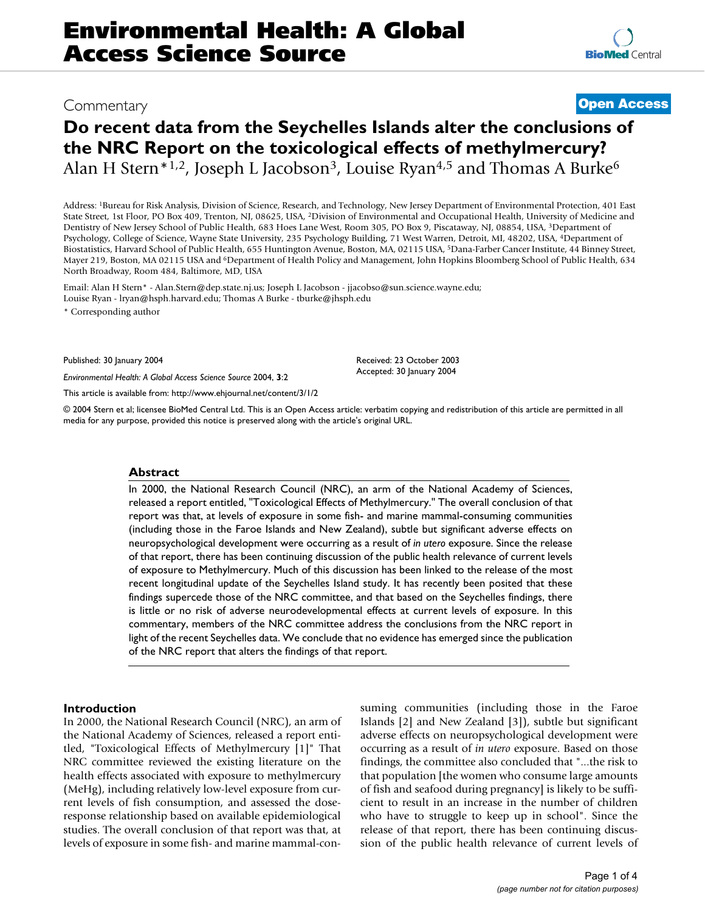# Commentary **[Open Access](http://www.biomedcentral.com/info/about/charter/)**

## **Do recent data from the Seychelles Islands alter the conclusions of the NRC Report on the toxicological effects of methylmercury?** Alan H Stern<sup>\*1,2</sup>, Joseph L Jacobson<sup>3</sup>, Louise Ryan<sup>4,5</sup> and Thomas A Burke<sup>6</sup>

Address: 1Bureau for Risk Analysis, Division of Science, Research, and Technology, New Jersey Department of Environmental Protection, 401 East State Street, 1st Floor, PO Box 409, Trenton, NJ, 08625, USA, 2Division of Environmental and Occupational Health, University of Medicine and Dentistry of New Jersey School of Public Health, 683 Hoes Lane West, Room 305, PO Box 9, Piscataway, NJ, 08854, USA, 3Department of Psychology, College of Science, Wayne State University, 235 Psychology Building, 71 West Warren, Detroit, MI, 48202, USA, 4Department of Biostatistics, Harvard School of Public Health, 655 Huntington Avenue, Boston, MA, 02115 USA, 5Dana-Farber Cancer Institute, 44 Binney Street, Mayer 219, Boston, MA 02115 USA and <sup>6</sup>Department of Health Policy and Management, John Hopkins Bloomberg School of Public Health, 634 North Broadway, Room 484, Baltimore, MD, USA

Email: Alan H Stern\* - Alan.Stern@dep.state.nj.us; Joseph L Jacobson - jjacobso@sun.science.wayne.edu; Louise Ryan - lryan@hsph.harvard.edu; Thomas A Burke - tburke@jhsph.edu \* Corresponding author

Published: 30 January 2004

*Environmental Health: A Global Access Science Source* 2004, **3**:2

[This article is available from: http://www.ehjournal.net/content/3/1/2](http://www.ehjournal.net/content/3/1/2)

© 2004 Stern et al; licensee BioMed Central Ltd. This is an Open Access article: verbatim copying and redistribution of this article are permitted in all media for any purpose, provided this notice is preserved along with the article's original URL.

Received: 23 October 2003 Accepted: 30 January 2004

#### **Abstract**

In 2000, the National Research Council (NRC), an arm of the National Academy of Sciences, released a report entitled, "Toxicological Effects of Methylmercury." The overall conclusion of that report was that, at levels of exposure in some fish- and marine mammal-consuming communities (including those in the Faroe Islands and New Zealand), subtle but significant adverse effects on neuropsychological development were occurring as a result of *in utero* exposure. Since the release of that report, there has been continuing discussion of the public health relevance of current levels of exposure to Methylmercury. Much of this discussion has been linked to the release of the most recent longitudinal update of the Seychelles Island study. It has recently been posited that these findings supercede those of the NRC committee, and that based on the Seychelles findings, there is little or no risk of adverse neurodevelopmental effects at current levels of exposure. In this commentary, members of the NRC committee address the conclusions from the NRC report in light of the recent Seychelles data. We conclude that no evidence has emerged since the publication of the NRC report that alters the findings of that report.

#### **Introduction**

In 2000, the National Research Council (NRC), an arm of the National Academy of Sciences, released a report entitled, "Toxicological Effects of Methylmercury [1]" That NRC committee reviewed the existing literature on the health effects associated with exposure to methylmercury (MeHg), including relatively low-level exposure from current levels of fish consumption, and assessed the doseresponse relationship based on available epidemiological studies. The overall conclusion of that report was that, at levels of exposure in some fish- and marine mammal-consuming communities (including those in the Faroe Islands [2] and New Zealand [3]), subtle but significant adverse effects on neuropsychological development were occurring as a result of *in utero* exposure. Based on those findings, the committee also concluded that "...the risk to that population [the women who consume large amounts of fish and seafood during pregnancy] is likely to be sufficient to result in an increase in the number of children who have to struggle to keep up in school". Since the release of that report, there has been continuing discussion of the public health relevance of current levels of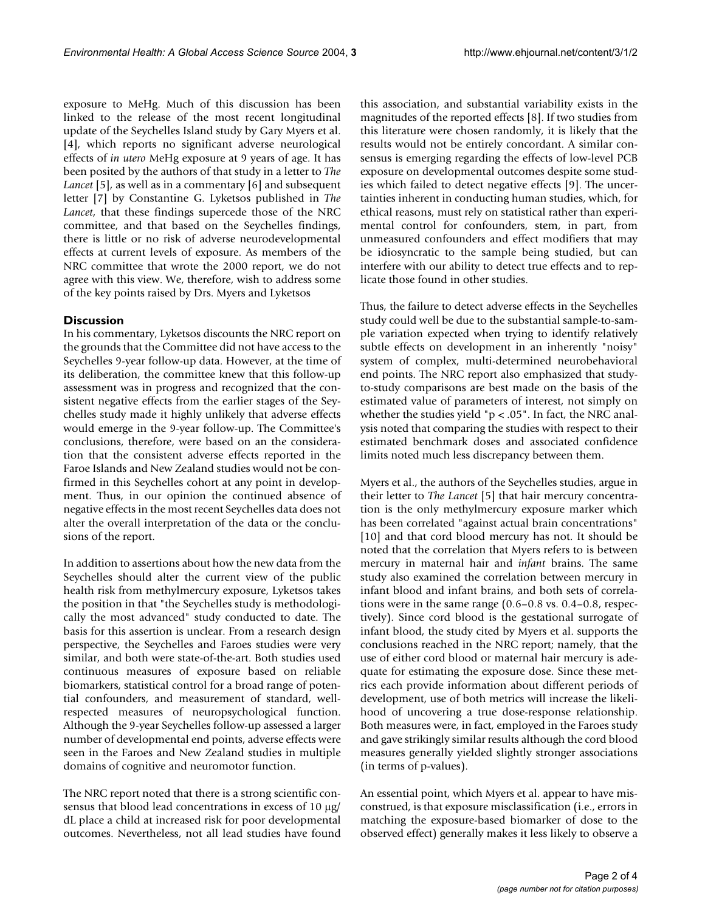exposure to MeHg. Much of this discussion has been linked to the release of the most recent longitudinal update of the Seychelles Island study by Gary Myers et al. [4], which reports no significant adverse neurological effects of *in utero* MeHg exposure at 9 years of age. It has been posited by the authors of that study in a letter to *The Lancet* [5], as well as in a commentary [6] and subsequent letter [7] by Constantine G. Lyketsos published in *The Lancet*, that these findings supercede those of the NRC committee, and that based on the Seychelles findings, there is little or no risk of adverse neurodevelopmental effects at current levels of exposure. As members of the NRC committee that wrote the 2000 report, we do not agree with this view. We, therefore, wish to address some of the key points raised by Drs. Myers and Lyketsos

### **Discussion**

In his commentary, Lyketsos discounts the NRC report on the grounds that the Committee did not have access to the Seychelles 9-year follow-up data. However, at the time of its deliberation, the committee knew that this follow-up assessment was in progress and recognized that the consistent negative effects from the earlier stages of the Seychelles study made it highly unlikely that adverse effects would emerge in the 9-year follow-up. The Committee's conclusions, therefore, were based on an the consideration that the consistent adverse effects reported in the Faroe Islands and New Zealand studies would not be confirmed in this Seychelles cohort at any point in development. Thus, in our opinion the continued absence of negative effects in the most recent Seychelles data does not alter the overall interpretation of the data or the conclusions of the report.

In addition to assertions about how the new data from the Seychelles should alter the current view of the public health risk from methylmercury exposure, Lyketsos takes the position in that "the Seychelles study is methodologically the most advanced" study conducted to date. The basis for this assertion is unclear. From a research design perspective, the Seychelles and Faroes studies were very similar, and both were state-of-the-art. Both studies used continuous measures of exposure based on reliable biomarkers, statistical control for a broad range of potential confounders, and measurement of standard, wellrespected measures of neuropsychological function. Although the 9-year Seychelles follow-up assessed a larger number of developmental end points, adverse effects were seen in the Faroes and New Zealand studies in multiple domains of cognitive and neuromotor function.

The NRC report noted that there is a strong scientific consensus that blood lead concentrations in excess of 10 µg/ dL place a child at increased risk for poor developmental outcomes. Nevertheless, not all lead studies have found

this association, and substantial variability exists in the magnitudes of the reported effects [8]. If two studies from this literature were chosen randomly, it is likely that the results would not be entirely concordant. A similar consensus is emerging regarding the effects of low-level PCB exposure on developmental outcomes despite some studies which failed to detect negative effects [9]. The uncertainties inherent in conducting human studies, which, for ethical reasons, must rely on statistical rather than experimental control for confounders, stem, in part, from unmeasured confounders and effect modifiers that may be idiosyncratic to the sample being studied, but can interfere with our ability to detect true effects and to replicate those found in other studies.

Thus, the failure to detect adverse effects in the Seychelles study could well be due to the substantial sample-to-sample variation expected when trying to identify relatively subtle effects on development in an inherently "noisy" system of complex, multi-determined neurobehavioral end points. The NRC report also emphasized that studyto-study comparisons are best made on the basis of the estimated value of parameters of interest, not simply on whether the studies yield " $p < .05$ ". In fact, the NRC analysis noted that comparing the studies with respect to their estimated benchmark doses and associated confidence limits noted much less discrepancy between them.

Myers et al., the authors of the Seychelles studies, argue in their letter to *The Lancet* [5] that hair mercury concentration is the only methylmercury exposure marker which has been correlated "against actual brain concentrations" [10] and that cord blood mercury has not. It should be noted that the correlation that Myers refers to is between mercury in maternal hair and *infant* brains. The same study also examined the correlation between mercury in infant blood and infant brains, and both sets of correlations were in the same range (0.6–0.8 vs. 0.4–0.8, respectively). Since cord blood is the gestational surrogate of infant blood, the study cited by Myers et al. supports the conclusions reached in the NRC report; namely, that the use of either cord blood or maternal hair mercury is adequate for estimating the exposure dose. Since these metrics each provide information about different periods of development, use of both metrics will increase the likelihood of uncovering a true dose-response relationship. Both measures were, in fact, employed in the Faroes study and gave strikingly similar results although the cord blood measures generally yielded slightly stronger associations (in terms of p-values).

An essential point, which Myers et al. appear to have misconstrued, is that exposure misclassification (i.e., errors in matching the exposure-based biomarker of dose to the observed effect) generally makes it less likely to observe a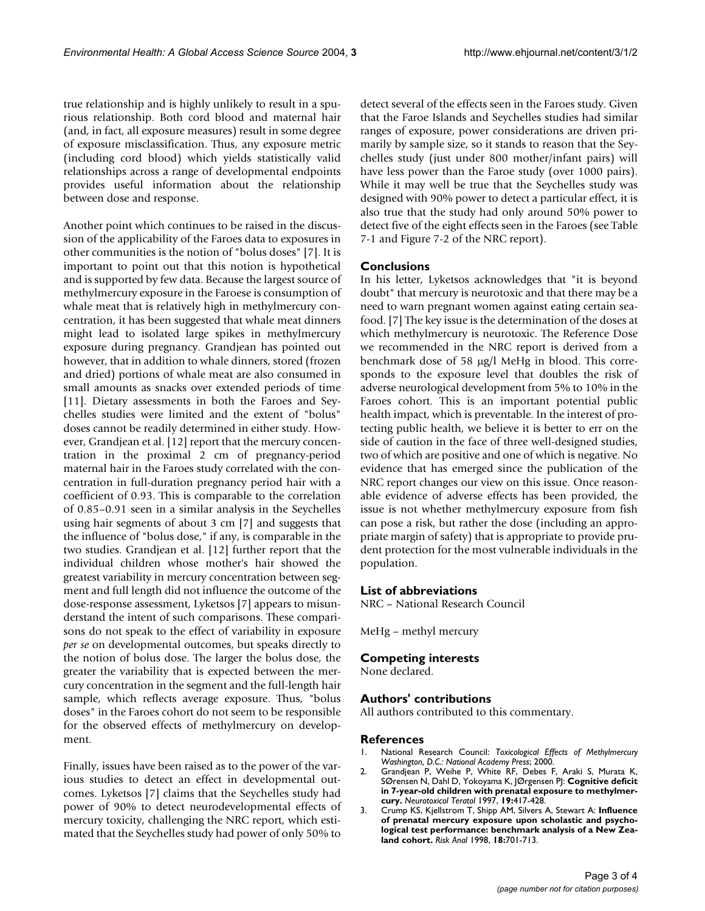true relationship and is highly unlikely to result in a spurious relationship. Both cord blood and maternal hair (and, in fact, all exposure measures) result in some degree of exposure misclassification. Thus, any exposure metric (including cord blood) which yields statistically valid relationships across a range of developmental endpoints provides useful information about the relationship between dose and response.

Another point which continues to be raised in the discussion of the applicability of the Faroes data to exposures in other communities is the notion of "bolus doses" [7]. It is important to point out that this notion is hypothetical and is supported by few data. Because the largest source of methylmercury exposure in the Faroese is consumption of whale meat that is relatively high in methylmercury concentration, it has been suggested that whale meat dinners might lead to isolated large spikes in methylmercury exposure during pregnancy. Grandjean has pointed out however, that in addition to whale dinners, stored (frozen and dried) portions of whale meat are also consumed in small amounts as snacks over extended periods of time [11]. Dietary assessments in both the Faroes and Seychelles studies were limited and the extent of "bolus" doses cannot be readily determined in either study. However, Grandjean et al. [12] report that the mercury concentration in the proximal 2 cm of pregnancy-period maternal hair in the Faroes study correlated with the concentration in full-duration pregnancy period hair with a coefficient of 0.93. This is comparable to the correlation of 0.85–0.91 seen in a similar analysis in the Seychelles using hair segments of about 3 cm [7] and suggests that the influence of "bolus dose," if any, is comparable in the two studies. Grandjean et al. [12] further report that the individual children whose mother's hair showed the greatest variability in mercury concentration between segment and full length did not influence the outcome of the dose-response assessment, Lyketsos [7] appears to misunderstand the intent of such comparisons. These comparisons do not speak to the effect of variability in exposure *per se* on developmental outcomes, but speaks directly to the notion of bolus dose. The larger the bolus dose, the greater the variability that is expected between the mercury concentration in the segment and the full-length hair sample, which reflects average exposure. Thus, "bolus doses" in the Faroes cohort do not seem to be responsible for the observed effects of methylmercury on development.

Finally, issues have been raised as to the power of the various studies to detect an effect in developmental outcomes. Lyketsos [7] claims that the Seychelles study had power of 90% to detect neurodevelopmental effects of mercury toxicity, challenging the NRC report, which estimated that the Seychelles study had power of only 50% to detect several of the effects seen in the Faroes study. Given that the Faroe Islands and Seychelles studies had similar ranges of exposure, power considerations are driven primarily by sample size, so it stands to reason that the Seychelles study (just under 800 mother/infant pairs) will have less power than the Faroe study (over 1000 pairs). While it may well be true that the Seychelles study was designed with 90% power to detect a particular effect, it is also true that the study had only around 50% power to detect five of the eight effects seen in the Faroes (see Table 7-1 and Figure 7-2 of the NRC report).

#### **Conclusions**

In his letter, Lyketsos acknowledges that "it is beyond doubt" that mercury is neurotoxic and that there may be a need to warn pregnant women against eating certain seafood. [7] The key issue is the determination of the doses at which methylmercury is neurotoxic. The Reference Dose we recommended in the NRC report is derived from a benchmark dose of 58 µg/l MeHg in blood. This corresponds to the exposure level that doubles the risk of adverse neurological development from 5% to 10% in the Faroes cohort. This is an important potential public health impact, which is preventable. In the interest of protecting public health, we believe it is better to err on the side of caution in the face of three well-designed studies, two of which are positive and one of which is negative. No evidence that has emerged since the publication of the NRC report changes our view on this issue. Once reasonable evidence of adverse effects has been provided, the issue is not whether methylmercury exposure from fish can pose a risk, but rather the dose (including an appropriate margin of safety) that is appropriate to provide prudent protection for the most vulnerable individuals in the population.

#### **List of abbreviations**

NRC – National Research Council

MeHg – methyl mercury

#### **Competing interests**

None declared.

#### **Authors' contributions**

All authors contributed to this commentary.

#### **References**

- 1. National Research Council: *Toxicological Effects of Methylmercury Washington, D.C.: National Academy Press*; 2000.
- 2. Grandjean P, Weihe P, White RF, Debes F, Araki S, Murata K, SØrensen N, Dahl D, Yokoyama K, JØrgensen PJ: **[Cognitive deficit](http://www.ncbi.nlm.nih.gov/entrez/query.fcgi?cmd=Retrieve&db=PubMed&dopt=Abstract&list_uids=10.1016/S0892-0362(97)00097-4) [in 7-year-old children with prenatal exposure to methylmer](http://www.ncbi.nlm.nih.gov/entrez/query.fcgi?cmd=Retrieve&db=PubMed&dopt=Abstract&list_uids=10.1016/S0892-0362(97)00097-4)[cury](http://www.ncbi.nlm.nih.gov/entrez/query.fcgi?cmd=Retrieve&db=PubMed&dopt=Abstract&list_uids=10.1016/S0892-0362(97)00097-4)[.](http://www.ncbi.nlm.nih.gov/entrez/query.fcgi?cmd=Retrieve&db=PubMed&dopt=Abstract&list_uids=9392777)** *Neurotoxicol Teratol* 1997, **19:**417-428.
- 3. Crump KS, Kjellstrom T, Shipp AM, Silvers A, Stewart A: **[Influence](http://www.ncbi.nlm.nih.gov/entrez/query.fcgi?cmd=Retrieve&db=PubMed&dopt=Abstract&list_uids=10.1023/B:RIAN.0000005917.52151.e6) of prenatal mercury exposure upon scholastic and psycho[logical test performance: benchmark analysis of a New Zea](http://www.ncbi.nlm.nih.gov/entrez/query.fcgi?cmd=Retrieve&db=PubMed&dopt=Abstract&list_uids=10.1023/B:RIAN.0000005917.52151.e6)[land cohort](http://www.ncbi.nlm.nih.gov/entrez/query.fcgi?cmd=Retrieve&db=PubMed&dopt=Abstract&list_uids=10.1023/B:RIAN.0000005917.52151.e6)[.](http://www.ncbi.nlm.nih.gov/entrez/query.fcgi?cmd=Retrieve&db=PubMed&dopt=Abstract&list_uids=9972579)** *Risk Anal* 1998, **18:**701-713.